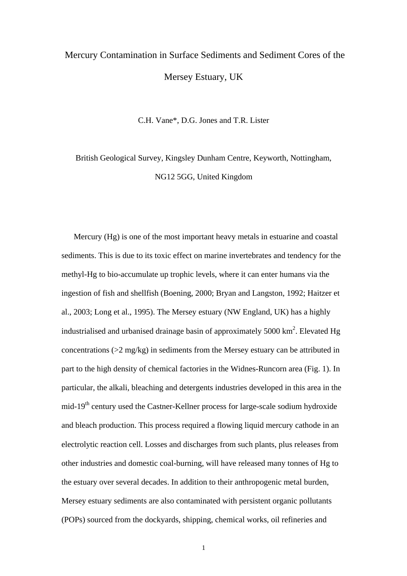## Mercury Contamination in Surface Sediments and Sediment Cores of the Mersey Estuary, UK

C.H. Vane\*, D.G. Jones and T.R. Lister

British Geological Survey, Kingsley Dunham Centre, Keyworth, Nottingham, NG12 5GG, United Kingdom

Mercury (Hg) is one of the most important heavy metals in estuarine and coastal sediments. This is due to its toxic effect on marine invertebrates and tendency for the methyl-Hg to bio-accumulate up trophic levels, where it can enter humans via the ingestion of fish and shellfish (Boening, 2000; Bryan and Langston, 1992; Haitzer et al., 2003; Long et al., 1995). The Mersey estuary (NW England, UK) has a highly industrialised and urbanised drainage basin of approximately  $5000 \text{ km}^2$ . Elevated Hg concentrations (>2 mg/kg) in sediments from the Mersey estuary can be attributed in part to the high density of chemical factories in the Widnes-Runcorn area (Fig. 1). In particular, the alkali, bleaching and detergents industries developed in this area in the mid-19<sup>th</sup> century used the Castner-Kellner process for large-scale sodium hydroxide and bleach production. This process required a flowing liquid mercury cathode in an electrolytic reaction cell. Losses and discharges from such plants, plus releases from other industries and domestic coal-burning, will have released many tonnes of Hg to the estuary over several decades. In addition to their anthropogenic metal burden, Mersey estuary sediments are also contaminated with persistent organic pollutants (POPs) sourced from the dockyards, shipping, chemical works, oil refineries and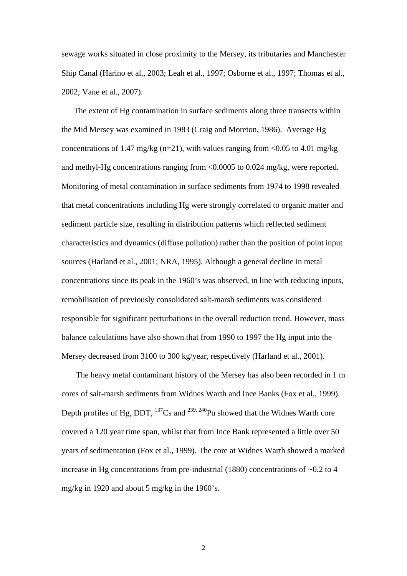sewage works situated in close proximity to the Mersey, its tributaries and Manchester Ship Canal (Harino et al., 2003; Leah et al., 1997; Osborne et al., 1997; Thomas et al., 2002; Vane et al., 2007).

The extent of Hg contamination in surface sediments along three transects within the Mid Mersey was examined in 1983 (Craig and Moreton, 1986). Average Hg concentrations of 1.47 mg/kg (n=21), with values ranging from <0.05 to 4.01 mg/kg and methyl-Hg concentrations ranging from <0.0005 to 0.024 mg/kg, were reported. Monitoring of metal contamination in surface sediments from 1974 to 1998 revealed that metal concentrations including Hg were strongly correlated to organic matter and sediment particle size, resulting in distribution patterns which reflected sediment characteristics and dynamics (diffuse pollution) rather than the position of point input sources (Harland et al., 2001; NRA, 1995). Although a general decline in metal concentrations since its peak in the 1960's was observed, in line with reducing inputs, remobilisation of previously consolidated salt-marsh sediments was considered responsible for significant perturbations in the overall reduction trend. However, mass balance calculations have also shown that from 1990 to 1997 the Hg input into the Mersey decreased from 3100 to 300 kg/year, respectively (Harland et al., 2001).

 The heavy metal contaminant history of the Mersey has also been recorded in 1 m cores of salt-marsh sediments from Widnes Warth and Ince Banks (Fox et al., 1999). Depth profiles of Hg, DDT,  $^{137}Cs$  and  $^{239, 240}Pu$  showed that the Widnes Warth core covered a 120 year time span, whilst that from Ince Bank represented a little over 50 years of sedimentation (Fox et al., 1999). The core at Widnes Warth showed a marked increase in Hg concentrations from pre-industrial (1880) concentrations of ~0.2 to 4 mg/kg in 1920 and about 5 mg/kg in the 1960's.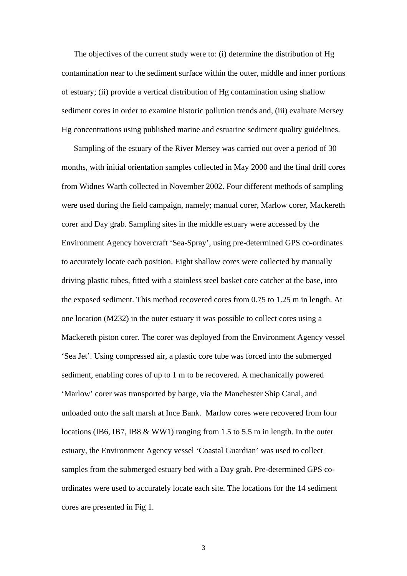The objectives of the current study were to: (i) determine the distribution of Hg contamination near to the sediment surface within the outer, middle and inner portions of estuary; (ii) provide a vertical distribution of Hg contamination using shallow sediment cores in order to examine historic pollution trends and, (iii) evaluate Mersey Hg concentrations using published marine and estuarine sediment quality guidelines.

Sampling of the estuary of the River Mersey was carried out over a period of 30 months, with initial orientation samples collected in May 2000 and the final drill cores from Widnes Warth collected in November 2002. Four different methods of sampling were used during the field campaign, namely; manual corer, Marlow corer, Mackereth corer and Day grab. Sampling sites in the middle estuary were accessed by the Environment Agency hovercraft 'Sea-Spray', using pre-determined GPS co-ordinates to accurately locate each position. Eight shallow cores were collected by manually driving plastic tubes, fitted with a stainless steel basket core catcher at the base, into the exposed sediment. This method recovered cores from 0.75 to 1.25 m in length. At one location (M232) in the outer estuary it was possible to collect cores using a Mackereth piston corer. The corer was deployed from the Environment Agency vessel 'Sea Jet'. Using compressed air, a plastic core tube was forced into the submerged sediment, enabling cores of up to 1 m to be recovered. A mechanically powered 'Marlow' corer was transported by barge, via the Manchester Ship Canal, and unloaded onto the salt marsh at Ince Bank. Marlow cores were recovered from four locations (IB6, IB7, IB8  $&$  WW1) ranging from 1.5 to 5.5 m in length. In the outer estuary, the Environment Agency vessel 'Coastal Guardian' was used to collect samples from the submerged estuary bed with a Day grab. Pre-determined GPS coordinates were used to accurately locate each site. The locations for the 14 sediment cores are presented in Fig 1.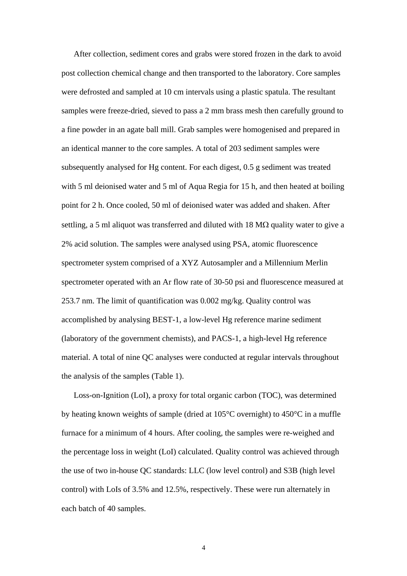After collection, sediment cores and grabs were stored frozen in the dark to avoid post collection chemical change and then transported to the laboratory. Core samples were defrosted and sampled at 10 cm intervals using a plastic spatula. The resultant samples were freeze-dried, sieved to pass a 2 mm brass mesh then carefully ground to a fine powder in an agate ball mill. Grab samples were homogenised and prepared in an identical manner to the core samples. A total of 203 sediment samples were subsequently analysed for Hg content. For each digest, 0.5 g sediment was treated with 5 ml deionised water and 5 ml of Aqua Regia for 15 h, and then heated at boiling point for 2 h. Once cooled, 50 ml of deionised water was added and shaken. After settling, a 5 ml aliquot was transferred and diluted with 18 M $\Omega$  quality water to give a 2% acid solution. The samples were analysed using PSA, atomic fluorescence spectrometer system comprised of a XYZ Autosampler and a Millennium Merlin spectrometer operated with an Ar flow rate of 30-50 psi and fluorescence measured at 253.7 nm. The limit of quantification was 0.002 mg/kg. Quality control was accomplished by analysing BEST-1, a low-level Hg reference marine sediment (laboratory of the government chemists), and PACS-1, a high-level Hg reference material. A total of nine QC analyses were conducted at regular intervals throughout the analysis of the samples (Table 1).

Loss-on-Ignition (LoI), a proxy for total organic carbon (TOC), was determined by heating known weights of sample (dried at 105°C overnight) to 450°C in a muffle furnace for a minimum of 4 hours. After cooling, the samples were re-weighed and the percentage loss in weight (LoI) calculated. Quality control was achieved through the use of two in-house QC standards: LLC (low level control) and S3B (high level control) with LoIs of 3.5% and 12.5%, respectively. These were run alternately in each batch of 40 samples.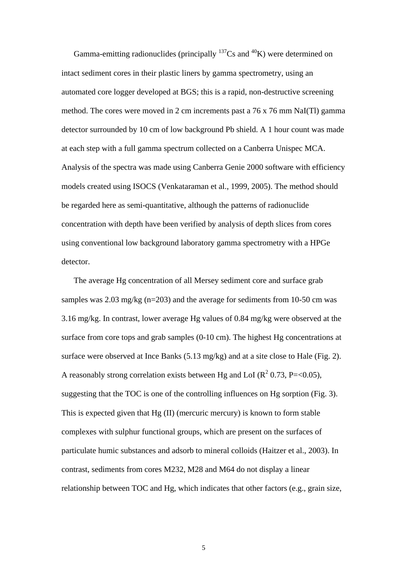Gamma-emitting radionuclides (principally  $137$ Cs and  $40$ K) were determined on intact sediment cores in their plastic liners by gamma spectrometry, using an automated core logger developed at BGS; this is a rapid, non-destructive screening method. The cores were moved in 2 cm increments past a 76 x 76 mm NaI(Tl) gamma detector surrounded by 10 cm of low background Pb shield. A 1 hour count was made at each step with a full gamma spectrum collected on a Canberra Unispec MCA. Analysis of the spectra was made using Canberra Genie 2000 software with efficiency models created using ISOCS (Venkataraman et al., 1999, 2005). The method should be regarded here as semi-quantitative, although the patterns of radionuclide concentration with depth have been verified by analysis of depth slices from cores using conventional low background laboratory gamma spectrometry with a HPGe detector.

The average Hg concentration of all Mersey sediment core and surface grab samples was 2.03 mg/kg (n=203) and the average for sediments from 10-50 cm was 3.16 mg/kg. In contrast, lower average Hg values of 0.84 mg/kg were observed at the surface from core tops and grab samples (0-10 cm). The highest Hg concentrations at surface were observed at Ince Banks (5.13 mg/kg) and at a site close to Hale (Fig. 2). A reasonably strong correlation exists between Hg and LoI ( $\mathbb{R}^2$  0.73, P=<0.05), suggesting that the TOC is one of the controlling influences on Hg sorption (Fig. 3). This is expected given that Hg (II) (mercuric mercury) is known to form stable complexes with sulphur functional groups, which are present on the surfaces of particulate humic substances and adsorb to mineral colloids (Haitzer et al., 2003). In contrast, sediments from cores M232, M28 and M64 do not display a linear relationship between TOC and Hg, which indicates that other factors (e.g., grain size,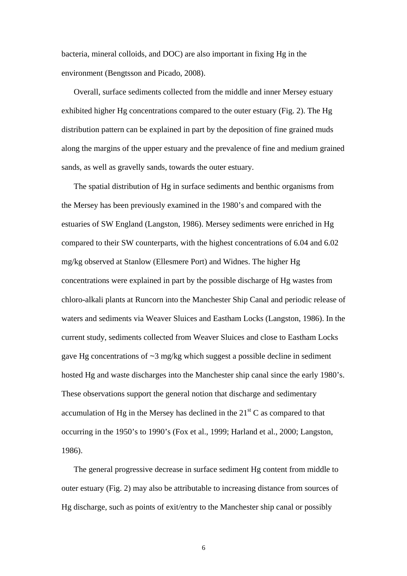bacteria, mineral colloids, and DOC) are also important in fixing Hg in the environment (Bengtsson and Picado, 2008).

Overall, surface sediments collected from the middle and inner Mersey estuary exhibited higher Hg concentrations compared to the outer estuary (Fig. 2). The Hg distribution pattern can be explained in part by the deposition of fine grained muds along the margins of the upper estuary and the prevalence of fine and medium grained sands, as well as gravelly sands, towards the outer estuary.

The spatial distribution of Hg in surface sediments and benthic organisms from the Mersey has been previously examined in the 1980's and compared with the estuaries of SW England (Langston, 1986). Mersey sediments were enriched in Hg compared to their SW counterparts, with the highest concentrations of 6.04 and 6.02 mg/kg observed at Stanlow (Ellesmere Port) and Widnes. The higher Hg concentrations were explained in part by the possible discharge of Hg wastes from chloro-alkali plants at Runcorn into the Manchester Ship Canal and periodic release of waters and sediments via Weaver Sluices and Eastham Locks (Langston, 1986). In the current study, sediments collected from Weaver Sluices and close to Eastham Locks gave Hg concentrations of  $\sim$ 3 mg/kg which suggest a possible decline in sediment hosted Hg and waste discharges into the Manchester ship canal since the early 1980's. These observations support the general notion that discharge and sedimentary accumulation of Hg in the Mersey has declined in the  $21<sup>st</sup>$ C as compared to that occurring in the 1950's to 1990's (Fox et al., 1999; Harland et al., 2000; Langston, 1986).

The general progressive decrease in surface sediment Hg content from middle to outer estuary (Fig. 2) may also be attributable to increasing distance from sources of Hg discharge, such as points of exit/entry to the Manchester ship canal or possibly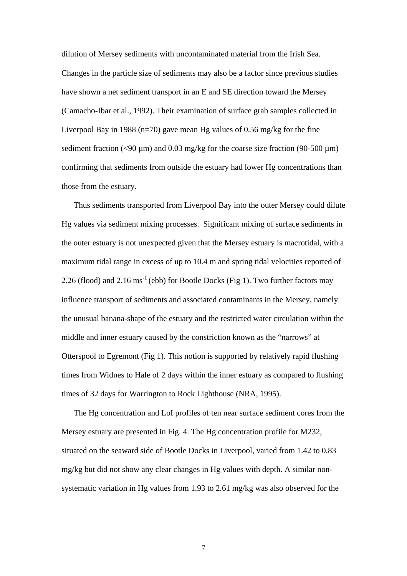dilution of Mersey sediments with uncontaminated material from the Irish Sea. Changes in the particle size of sediments may also be a factor since previous studies have shown a net sediment transport in an E and SE direction toward the Mersey (Camacho-Ibar et al., 1992). Their examination of surface grab samples collected in Liverpool Bay in 1988 (n=70) gave mean Hg values of 0.56 mg/kg for the fine sediment fraction ( $\langle 90 \mu m \rangle$  and 0.03 mg/kg for the coarse size fraction (90-500  $\mu$ m) confirming that sediments from outside the estuary had lower Hg concentrations than those from the estuary.

Thus sediments transported from Liverpool Bay into the outer Mersey could dilute Hg values via sediment mixing processes. Significant mixing of surface sediments in the outer estuary is not unexpected given that the Mersey estuary is macrotidal, with a maximum tidal range in excess of up to 10.4 m and spring tidal velocities reported of 2.26 (flood) and 2.16 ms<sup>-1</sup> (ebb) for Bootle Docks (Fig 1). Two further factors may influence transport of sediments and associated contaminants in the Mersey, namely the unusual banana-shape of the estuary and the restricted water circulation within the middle and inner estuary caused by the constriction known as the "narrows" at Otterspool to Egremont (Fig 1). This notion is supported by relatively rapid flushing times from Widnes to Hale of 2 days within the inner estuary as compared to flushing times of 32 days for Warrington to Rock Lighthouse (NRA, 1995).

The Hg concentration and LoI profiles of ten near surface sediment cores from the Mersey estuary are presented in Fig. 4. The Hg concentration profile for M232, situated on the seaward side of Bootle Docks in Liverpool, varied from 1.42 to 0.83 mg/kg but did not show any clear changes in Hg values with depth. A similar nonsystematic variation in Hg values from 1.93 to 2.61 mg/kg was also observed for the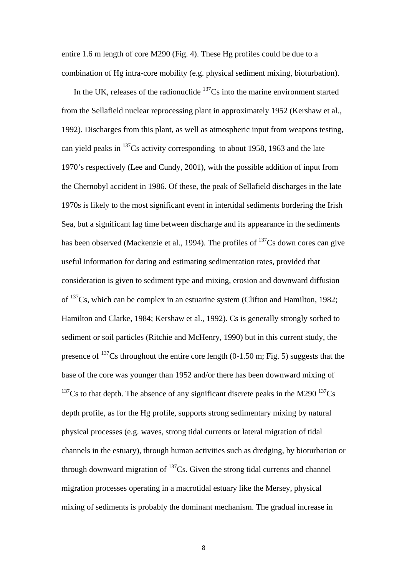entire 1.6 m length of core M290 (Fig. 4). These Hg profiles could be due to a combination of Hg intra-core mobility (e.g. physical sediment mixing, bioturbation).

In the UK, releases of the radionuclide  $137Cs$  into the marine environment started from the Sellafield nuclear reprocessing plant in approximately 1952 (Kershaw et al., 1992). Discharges from this plant, as well as atmospheric input from weapons testing, can yield peaks in  $137$ Cs activity corresponding to about 1958, 1963 and the late 1970's respectively (Lee and Cundy, 2001), with the possible addition of input from the Chernobyl accident in 1986. Of these, the peak of Sellafield discharges in the late 1970s is likely to the most significant event in intertidal sediments bordering the Irish Sea, but a significant lag time between discharge and its appearance in the sediments has been observed (Mackenzie et al., 1994). The profiles of  $^{137}Cs$  down cores can give useful information for dating and estimating sedimentation rates, provided that consideration is given to sediment type and mixing, erosion and downward diffusion of 137Cs, which can be complex in an estuarine system (Clifton and Hamilton, 1982; Hamilton and Clarke, 1984; Kershaw et al., 1992). Cs is generally strongly sorbed to sediment or soil particles (Ritchie and McHenry, 1990) but in this current study, the presence of  $137$ Cs throughout the entire core length (0-1.50 m; Fig. 5) suggests that the base of the core was younger than 1952 and/or there has been downward mixing of  $137<sub>CS</sub>$  to that depth. The absence of any significant discrete peaks in the M290  $137<sub>CS</sub>$ depth profile, as for the Hg profile, supports strong sedimentary mixing by natural physical processes (e.g. waves, strong tidal currents or lateral migration of tidal channels in the estuary), through human activities such as dredging, by bioturbation or through downward migration of  $137$ Cs. Given the strong tidal currents and channel migration processes operating in a macrotidal estuary like the Mersey, physical mixing of sediments is probably the dominant mechanism. The gradual increase in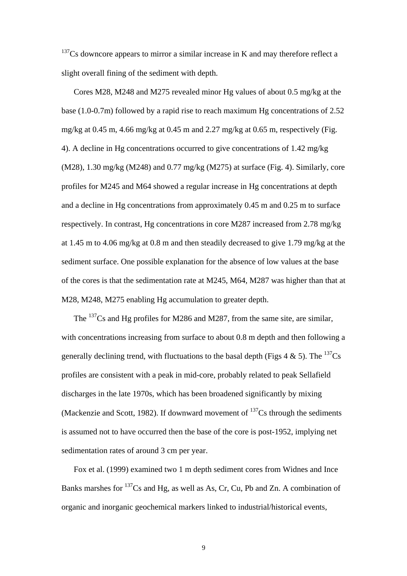$137$ Cs downcore appears to mirror a similar increase in K and may therefore reflect a slight overall fining of the sediment with depth.

Cores M28, M248 and M275 revealed minor Hg values of about 0.5 mg/kg at the base (1.0-0.7m) followed by a rapid rise to reach maximum Hg concentrations of 2.52 mg/kg at 0.45 m, 4.66 mg/kg at 0.45 m and 2.27 mg/kg at 0.65 m, respectively (Fig. 4). A decline in Hg concentrations occurred to give concentrations of 1.42 mg/kg (M28), 1.30 mg/kg (M248) and 0.77 mg/kg (M275) at surface (Fig. 4). Similarly, core profiles for M245 and M64 showed a regular increase in Hg concentrations at depth and a decline in Hg concentrations from approximately 0.45 m and 0.25 m to surface respectively. In contrast, Hg concentrations in core M287 increased from 2.78 mg/kg at 1.45 m to 4.06 mg/kg at 0.8 m and then steadily decreased to give 1.79 mg/kg at the sediment surface. One possible explanation for the absence of low values at the base of the cores is that the sedimentation rate at M245, M64, M287 was higher than that at M28, M248, M275 enabling Hg accumulation to greater depth.

The  $^{137}$ Cs and Hg profiles for M286 and M287, from the same site, are similar, with concentrations increasing from surface to about 0.8 m depth and then following a generally declining trend, with fluctuations to the basal depth (Figs 4 & 5). The  $^{137}Cs$ profiles are consistent with a peak in mid-core, probably related to peak Sellafield discharges in the late 1970s, which has been broadened significantly by mixing (Mackenzie and Scott, 1982). If downward movement of  $137$ Cs through the sediments is assumed not to have occurred then the base of the core is post-1952, implying net sedimentation rates of around 3 cm per year.

Fox et al. (1999) examined two 1 m depth sediment cores from Widnes and Ince Banks marshes for  $^{137}Cs$  and Hg, as well as As, Cr, Cu, Pb and Zn. A combination of organic and inorganic geochemical markers linked to industrial/historical events,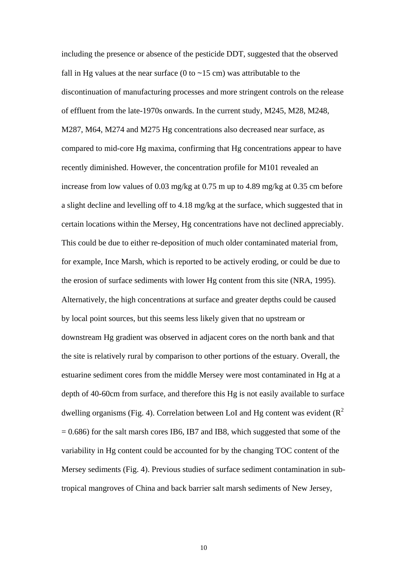including the presence or absence of the pesticide DDT, suggested that the observed fall in Hg values at the near surface (0 to  $\sim$ 15 cm) was attributable to the discontinuation of manufacturing processes and more stringent controls on the release of effluent from the late-1970s onwards. In the current study, M245, M28, M248, M287, M64, M274 and M275 Hg concentrations also decreased near surface, as compared to mid-core Hg maxima, confirming that Hg concentrations appear to have recently diminished. However, the concentration profile for M101 revealed an increase from low values of 0.03 mg/kg at 0.75 m up to 4.89 mg/kg at 0.35 cm before a slight decline and levelling off to 4.18 mg/kg at the surface, which suggested that in certain locations within the Mersey, Hg concentrations have not declined appreciably. This could be due to either re-deposition of much older contaminated material from, for example, Ince Marsh, which is reported to be actively eroding, or could be due to the erosion of surface sediments with lower Hg content from this site (NRA, 1995). Alternatively, the high concentrations at surface and greater depths could be caused by local point sources, but this seems less likely given that no upstream or downstream Hg gradient was observed in adjacent cores on the north bank and that the site is relatively rural by comparison to other portions of the estuary. Overall, the estuarine sediment cores from the middle Mersey were most contaminated in Hg at a depth of 40-60cm from surface, and therefore this Hg is not easily available to surface dwelling organisms (Fig. 4). Correlation between LoI and Hg content was evident ( $\mathbb{R}^2$ )  $= 0.686$ ) for the salt marsh cores IB6, IB7 and IB8, which suggested that some of the variability in Hg content could be accounted for by the changing TOC content of the Mersey sediments (Fig. 4). Previous studies of surface sediment contamination in subtropical mangroves of China and back barrier salt marsh sediments of New Jersey,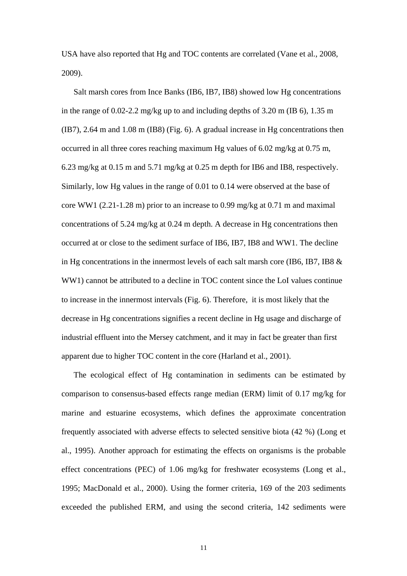USA have also reported that Hg and TOC contents are correlated (Vane et al., 2008, 2009).

Salt marsh cores from Ince Banks (IB6, IB7, IB8) showed low Hg concentrations in the range of 0.02-2.2 mg/kg up to and including depths of 3.20 m (IB 6), 1.35 m (IB7), 2.64 m and 1.08 m (IB8) (Fig. 6). A gradual increase in Hg concentrations then occurred in all three cores reaching maximum Hg values of 6.02 mg/kg at 0.75 m, 6.23 mg/kg at 0.15 m and 5.71 mg/kg at 0.25 m depth for IB6 and IB8, respectively. Similarly, low Hg values in the range of 0.01 to 0.14 were observed at the base of core WW1 (2.21-1.28 m) prior to an increase to 0.99 mg/kg at 0.71 m and maximal concentrations of 5.24 mg/kg at 0.24 m depth. A decrease in Hg concentrations then occurred at or close to the sediment surface of IB6, IB7, IB8 and WW1. The decline in Hg concentrations in the innermost levels of each salt marsh core (IB6, IB7, IB8 & WW1) cannot be attributed to a decline in TOC content since the LoI values continue to increase in the innermost intervals (Fig. 6). Therefore, it is most likely that the decrease in Hg concentrations signifies a recent decline in Hg usage and discharge of industrial effluent into the Mersey catchment, and it may in fact be greater than first apparent due to higher TOC content in the core (Harland et al., 2001).

The ecological effect of Hg contamination in sediments can be estimated by comparison to consensus-based effects range median (ERM) limit of 0.17 mg/kg for marine and estuarine ecosystems, which defines the approximate concentration frequently associated with adverse effects to selected sensitive biota (42 %) (Long et al., 1995). Another approach for estimating the effects on organisms is the probable effect concentrations (PEC) of 1.06 mg/kg for freshwater ecosystems (Long et al., 1995; MacDonald et al., 2000). Using the former criteria, 169 of the 203 sediments exceeded the published ERM, and using the second criteria, 142 sediments were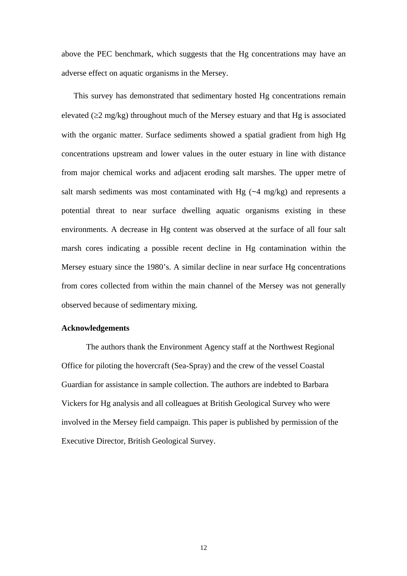above the PEC benchmark, which suggests that the Hg concentrations may have an adverse effect on aquatic organisms in the Mersey.

This survey has demonstrated that sedimentary hosted Hg concentrations remain elevated ( $\geq$ 2 mg/kg) throughout much of the Mersey estuary and that Hg is associated with the organic matter. Surface sediments showed a spatial gradient from high Hg concentrations upstream and lower values in the outer estuary in line with distance from major chemical works and adjacent eroding salt marshes. The upper metre of salt marsh sediments was most contaminated with Hg  $(-4 \text{ mg/kg})$  and represents a potential threat to near surface dwelling aquatic organisms existing in these environments. A decrease in Hg content was observed at the surface of all four salt marsh cores indicating a possible recent decline in Hg contamination within the Mersey estuary since the 1980's. A similar decline in near surface Hg concentrations from cores collected from within the main channel of the Mersey was not generally observed because of sedimentary mixing.

## **Acknowledgements**

The authors thank the Environment Agency staff at the Northwest Regional Office for piloting the hovercraft (Sea-Spray) and the crew of the vessel Coastal Guardian for assistance in sample collection. The authors are indebted to Barbara Vickers for Hg analysis and all colleagues at British Geological Survey who were involved in the Mersey field campaign. This paper is published by permission of the Executive Director, British Geological Survey.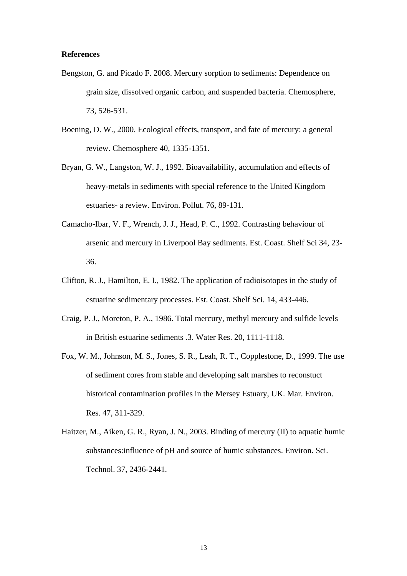## **References**

- Bengston, G. and Picado F. 2008. Mercury sorption to sediments: Dependence on grain size, dissolved organic carbon, and suspended bacteria. Chemosphere, 73, 526-531.
- Boening, D. W., 2000. Ecological effects, transport, and fate of mercury: a general review. Chemosphere 40, 1335-1351.
- Bryan, G. W., Langston, W. J., 1992. Bioavailability, accumulation and effects of heavy-metals in sediments with special reference to the United Kingdom estuaries- a review. Environ. Pollut. 76, 89-131.
- Camacho-Ibar, V. F., Wrench, J. J., Head, P. C., 1992. Contrasting behaviour of arsenic and mercury in Liverpool Bay sediments. Est. Coast. Shelf Sci 34, 23- 36.
- Clifton, R. J., Hamilton, E. I., 1982. The application of radioisotopes in the study of estuarine sedimentary processes. Est. Coast. Shelf Sci. 14, 433-446.
- Craig, P. J., Moreton, P. A., 1986. Total mercury, methyl mercury and sulfide levels in British estuarine sediments .3. Water Res. 20, 1111-1118.
- Fox, W. M., Johnson, M. S., Jones, S. R., Leah, R. T., Copplestone, D., 1999. The use of sediment cores from stable and developing salt marshes to reconstuct historical contamination profiles in the Mersey Estuary, UK. Mar. Environ. Res. 47, 311-329.
- Haitzer, M., Aiken, G. R., Ryan, J. N., 2003. Binding of mercury (II) to aquatic humic substances:influence of pH and source of humic substances. Environ. Sci. Technol. 37, 2436-2441.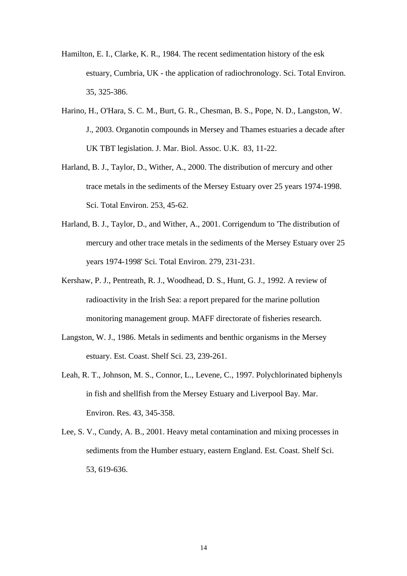- Hamilton, E. I., Clarke, K. R., 1984. The recent sedimentation history of the esk estuary, Cumbria, UK - the application of radiochronology. Sci. Total Environ. 35, 325-386.
- Harino, H., O'Hara, S. C. M., Burt, G. R., Chesman, B. S., Pope, N. D., Langston, W. J., 2003. Organotin compounds in Mersey and Thames estuaries a decade after UK TBT legislation. J. Mar. Biol. Assoc. U.K. 83, 11-22.
- Harland, B. J., Taylor, D., Wither, A., 2000. The distribution of mercury and other trace metals in the sediments of the Mersey Estuary over 25 years 1974-1998. Sci. Total Environ. 253, 45-62.
- Harland, B. J., Taylor, D., and Wither, A., 2001. Corrigendum to 'The distribution of mercury and other trace metals in the sediments of the Mersey Estuary over 25 years 1974-1998' Sci. Total Environ. 279, 231-231.
- Kershaw, P. J., Pentreath, R. J., Woodhead, D. S., Hunt, G. J., 1992. A review of radioactivity in the Irish Sea: a report prepared for the marine pollution monitoring management group. MAFF directorate of fisheries research.
- Langston, W. J., 1986. Metals in sediments and benthic organisms in the Mersey estuary. Est. Coast. Shelf Sci. 23, 239-261.
- Leah, R. T., Johnson, M. S., Connor, L., Levene, C., 1997. Polychlorinated biphenyls in fish and shellfish from the Mersey Estuary and Liverpool Bay. Mar. Environ. Res. 43, 345-358.
- Lee, S. V., Cundy, A. B., 2001. Heavy metal contamination and mixing processes in sediments from the Humber estuary, eastern England. Est. Coast. Shelf Sci. 53, 619-636.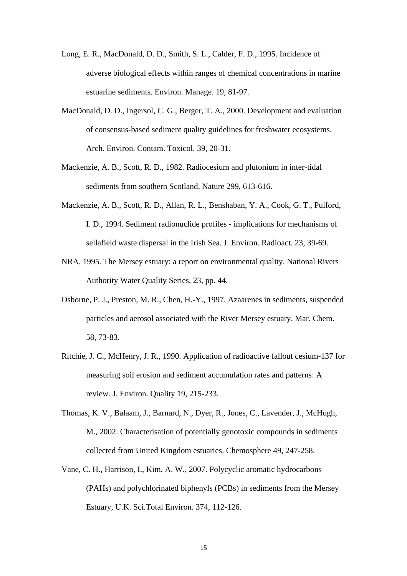- Long, E. R., MacDonald, D. D., Smith, S. L., Calder, F. D., 1995. Incidence of adverse biological effects within ranges of chemical concentrations in marine estuarine sediments. Environ. Manage. 19, 81-97.
- MacDonald, D. D., Ingersol, C. G., Berger, T. A., 2000. Development and evaluation of consensus-based sediment quality guidelines for freshwater ecosystems. Arch. Environ. Contam. Toxicol. 39, 20-31.
- Mackenzie, A. B., Scott, R. D., 1982. Radiocesium and plutonium in inter-tidal sediments from southern Scotland. Nature 299, 613-616.
- Mackenzie, A. B., Scott, R. D., Allan, R. L., Benshaban, Y. A., Cook, G. T., Pulford, I. D., 1994. Sediment radionuclide profiles - implications for mechanisms of sellafield waste dispersal in the Irish Sea. J. Environ. Radioact. 23, 39-69.
- NRA, 1995. The Mersey estuary: a report on environmental quality. National Rivers Authority Water Quality Series, 23, pp. 44.
- Osborne, P. J., Preston, M. R., Chen, H.-Y., 1997. Azaarenes in sediments, suspended particles and aerosol associated with the River Mersey estuary. Mar. Chem. 58, 73-83.
- Ritchie, J. C., McHenry, J. R., 1990. Application of radioactive fallout cesium-137 for measuring soil erosion and sediment accumulation rates and patterns: A review. J. Environ. Quality 19, 215-233.
- Thomas, K. V., Balaam, J., Barnard, N., Dyer, R., Jones, C., Lavender, J., McHugh, M., 2002. Characterisation of potentially genotoxic compounds in sediments collected from United Kingdom estuaries. Chemosphere 49, 247-258.
- Vane, C. H., Harrison, I., Kim, A. W., 2007. Polycyclic aromatic hydrocarbons (PAHs) and polychlorinated biphenyls (PCBs) in sediments from the Mersey Estuary, U.K. Sci.Total Environ. 374, 112-126.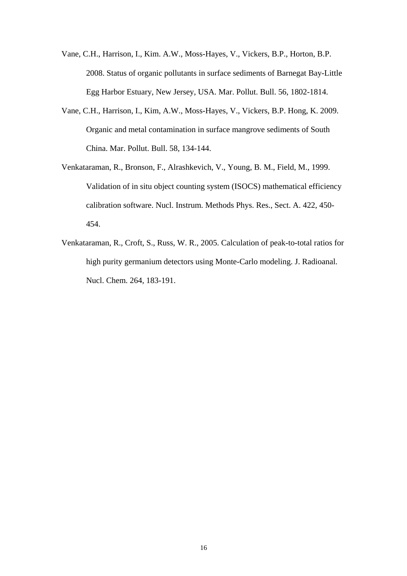- Vane, C.H., Harrison, I., Kim. A.W., Moss-Hayes, V., Vickers, B.P., Horton, B.P. 2008. Status of organic pollutants in surface sediments of Barnegat Bay-Little Egg Harbor Estuary, New Jersey, USA. Mar. Pollut. Bull. 56, 1802-1814.
- Vane, C.H., Harrison, I., Kim, A.W., Moss-Hayes, V., Vickers, B.P. Hong, K. 2009. Organic and metal contamination in surface mangrove sediments of South China. Mar. Pollut. Bull. 58, 134-144.
- Venkataraman, R., Bronson, F., Alrashkevich, V., Young, B. M., Field, M., 1999. Validation of in situ object counting system (ISOCS) mathematical efficiency calibration software. Nucl. Instrum. Methods Phys. Res., Sect. A. 422, 450- 454.
- Venkataraman, R., Croft, S., Russ, W. R., 2005. Calculation of peak-to-total ratios for high purity germanium detectors using Monte-Carlo modeling. J. Radioanal. Nucl. Chem. 264, 183-191.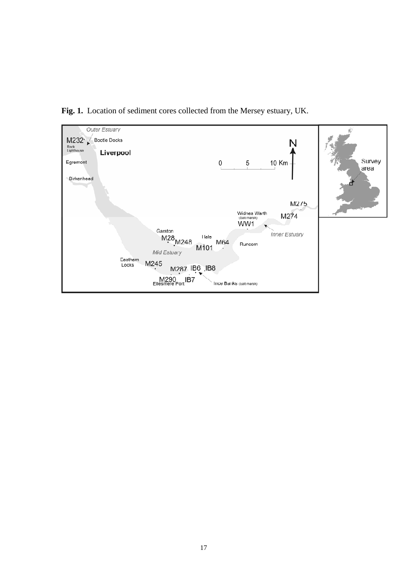

**Fig. 1.** Location of sediment cores collected from the Mersey estuary, UK.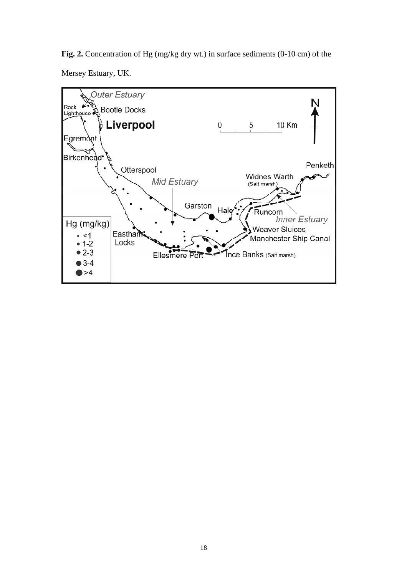**Fig. 2.** Concentration of Hg (mg/kg dry wt.) in surface sediments (0-10 cm) of the Mersey Estuary, UK.

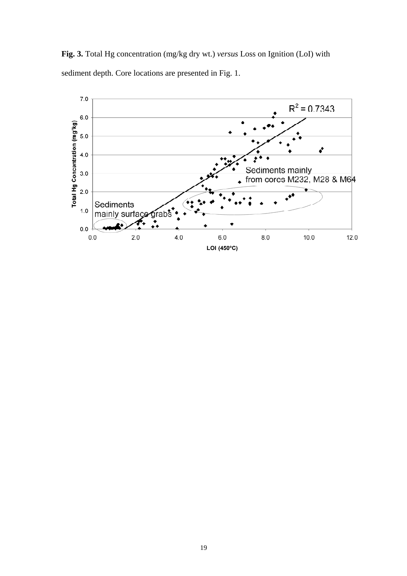**Fig. 3.** Total Hg concentration (mg/kg dry wt.) *versus* Loss on Ignition (LoI) with sediment depth. Core locations are presented in Fig. 1.

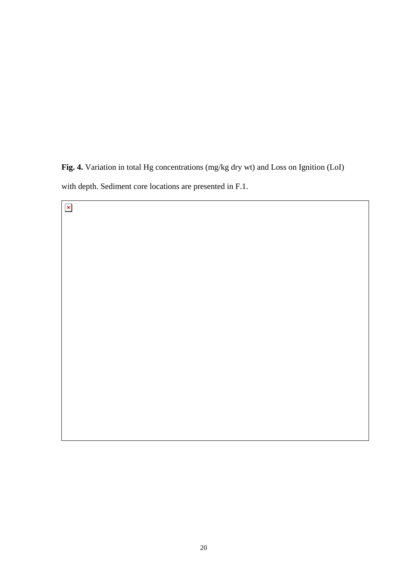**Fig. 4.** Variation in total Hg concentrations (mg/kg dry wt) and Loss on Ignition (LoI) with depth. Sediment core locations are presented in F.1.

 $\pmb{\times}$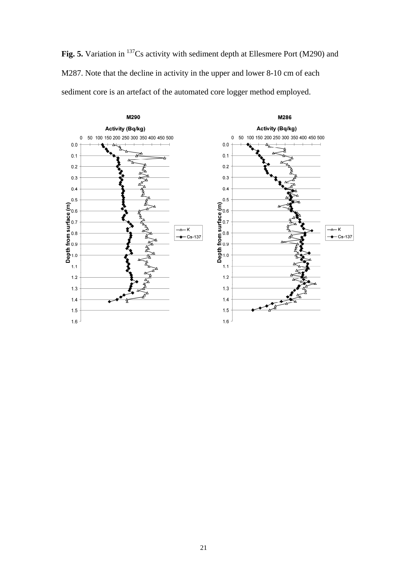Fig. 5. Variation in <sup>137</sup>Cs activity with sediment depth at Ellesmere Port (M290) and M287. Note that the decline in activity in the upper and lower 8-10 cm of each sediment core is an artefact of the automated core logger method employed.



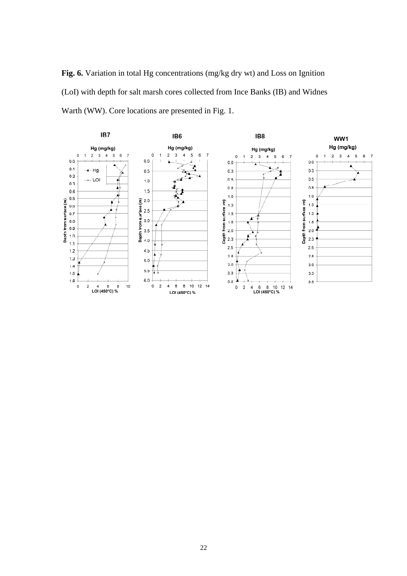**Fig. 6.** Variation in total Hg concentrations (mg/kg dry wt) and Loss on Ignition (LoI) with depth for salt marsh cores collected from Ince Banks (IB) and Widnes Warth (WW). Core locations are presented in Fig. 1.